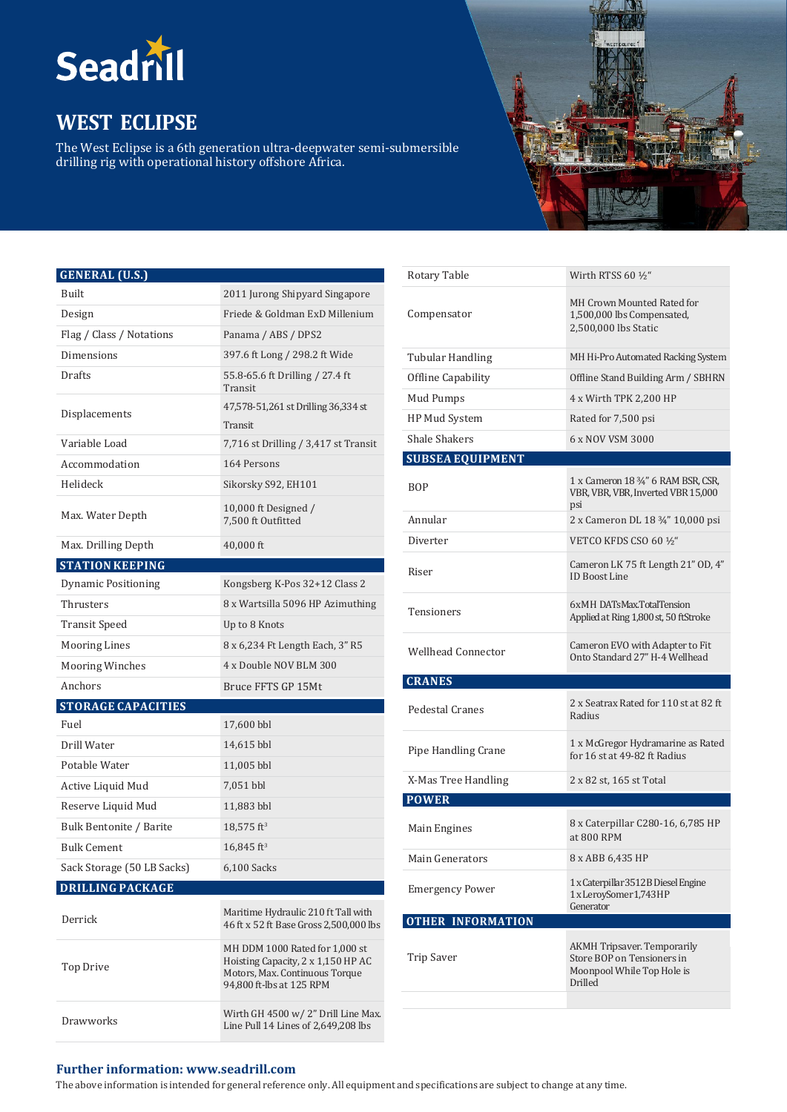

# **WEST ECLIPSE**

The West Eclipse is a 6th generation ultra-deepwater semi-submersible drilling rig with operational history offshore Africa.



## **GENERAL (U.S.)**

| Built                      | 2011 Jurong Shipyard Singapore                                                                                                     |
|----------------------------|------------------------------------------------------------------------------------------------------------------------------------|
| Design                     | Friede & Goldman ExD Millenium                                                                                                     |
| Flag / Class / Notations   | Panama / ABS / DPS2                                                                                                                |
| Dimensions                 | 397.6 ft Long / 298.2 ft Wide                                                                                                      |
| Drafts                     | 55.8-65.6 ft Drilling / 27.4 ft<br>Transit                                                                                         |
| Displacements              | 47,578-51,261 st Drilling 36,334 st<br>Transit                                                                                     |
| Variable Load              | 7,716 st Drilling / 3,417 st Transit                                                                                               |
| Accommodation              | 164 Persons                                                                                                                        |
| Helideck                   | Sikorsky S92, EH101                                                                                                                |
| Max. Water Depth           | 10,000 ft Designed $/$<br>7,500 ft Outfitted                                                                                       |
| Max. Drilling Depth        | 40,000 ft                                                                                                                          |
| <b>STATION KEEPING</b>     |                                                                                                                                    |
| Dynamic Positioning        | Kongsberg K-Pos 32+12 Class 2                                                                                                      |
| Thrusters                  | 8 x Wartsilla 5096 HP Azimuthing                                                                                                   |
| <b>Transit Speed</b>       | Up to 8 Knots                                                                                                                      |
| <b>Mooring Lines</b>       | 8 x 6,234 Ft Length Each, 3" R5                                                                                                    |
| <b>Mooring Winches</b>     | 4 x Double NOV BLM 300                                                                                                             |
| Anchors                    | Bruce FFTS GP 15Mt                                                                                                                 |
| <b>STORAGE CAPACITIES</b>  |                                                                                                                                    |
| Fuel                       | 17,600 bbl                                                                                                                         |
| Drill Water                | 14,615 bbl                                                                                                                         |
| Potable Water              | 11,005 bbl                                                                                                                         |
| Active Liquid Mud          | 7,051 bbl                                                                                                                          |
| Reserve Liquid Mud         | 11,883 bbl                                                                                                                         |
| Bulk Bentonite / Barite    | $18,575$ ft <sup>3</sup>                                                                                                           |
| <b>Bulk Cement</b>         | $16,845$ ft <sup>3</sup>                                                                                                           |
| Sack Storage (50 LB Sacks) | 6,100 Sacks                                                                                                                        |
| <b>DRILLING PACKAGE</b>    |                                                                                                                                    |
| Derrick                    | Maritime Hydraulic 210 ft Tall with<br>46 ft x 52 ft Base Gross 2,500,000 lbs                                                      |
| Top Drive                  | MH DDM 1000 Rated for 1,000 st<br>Hoisting Capacity, 2 x 1,150 HP AC<br>Motors, Max. Continuous Torque<br>94,800 ft-lbs at 125 RPM |
| Drawworks                  | Wirth GH 4500 w/2" Drill Line Max.<br>Line Pull 14 Lines of 2,649,208 lbs                                                          |

| Rotary Table              | Wirth RTSS 60 1/2"                                                                                 |
|---------------------------|----------------------------------------------------------------------------------------------------|
| Compensator               | MH Crown Mounted Rated for<br>1,500,000 lbs Compensated,<br>2,500,000 lbs Static                   |
| <b>Tubular Handling</b>   | MH Hi-Pro Automated Racking System                                                                 |
| Offline Capability        | Offline Stand Building Arm / SBHRN                                                                 |
| Mud Pumps                 | 4 x Wirth TPK 2,200 HP                                                                             |
| HP Mud System             | Rated for 7,500 psi                                                                                |
| <b>Shale Shakers</b>      | 6 x NOV VSM 3000                                                                                   |
| <b>SUBSEA EQUIPMENT</b>   |                                                                                                    |
| BOP                       | 1 x Cameron 18 3/4" 6 RAM BSR, CSR,<br>VBR, VBR, VBR, Inverted VBR 15,000<br>psi                   |
| Annular                   | 2 x Cameron DL 18 3/4" 10,000 psi                                                                  |
| Diverter                  | VETCO KFDS CSO 60 ½"                                                                               |
| Riser                     | Cameron LK 75 ft Length 21" OD, 4"<br><b>ID Boost Line</b>                                         |
| Tensioners                | 6xMH DATsMax.TotalTension<br>Applied at Ring 1,800 st, 50 ftStroke                                 |
| <b>Wellhead Connector</b> | Cameron EVO with Adapter to Fit<br>Onto Standard 27" H-4 Wellhead                                  |
| <b>CRANES</b>             |                                                                                                    |
| Pedestal Cranes           | 2 x Seatrax Rated for 110 st at 82 ft<br>Radius                                                    |
|                           |                                                                                                    |
| Pipe Handling Crane       | 1 x McGregor Hydramarine as Rated<br>for 16 st at 49-82 ft Radius                                  |
| X-Mas Tree Handling       | 2 x 82 st, 165 st Total                                                                            |
| <b>POWER</b>              |                                                                                                    |
| Main Engines              | 8 x Caterpillar C280-16, 6,785 HP<br>at 800 RPM                                                    |
| Main Generators           | 8 x ABB 6,435 HP                                                                                   |
| <b>Emergency Power</b>    | 1 x Caterpillar 3512 B Diesel Engine<br>1 x LeroySomer 1,743 HP<br>Generator                       |
| <b>OTHER INFORMATION</b>  |                                                                                                    |
| <b>Trip Saver</b>         | AKMH Tripsaver. Temporarily<br>Store BOP on Tensioners in<br>Moonpool While Top Hole is<br>Drilled |

### **Further information: [www.seadrill.com](http://www.seadrill.com/)**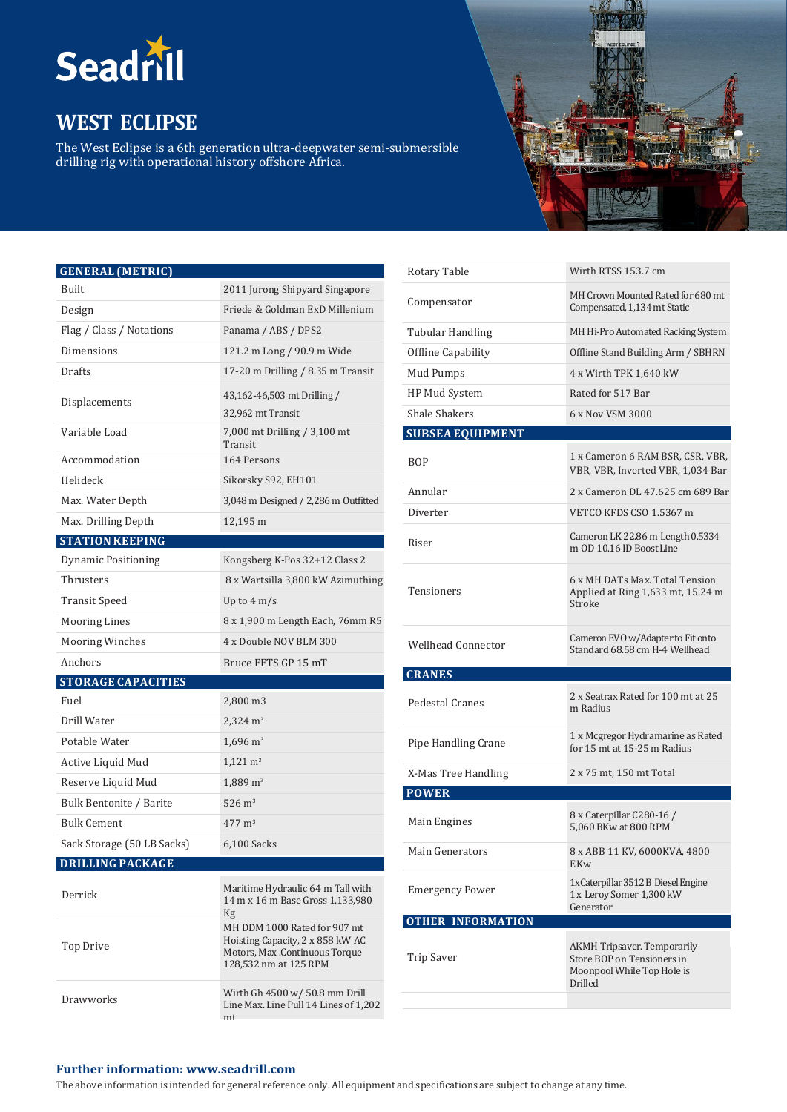

# **WEST ECLIPSE**

The West Eclipse is a 6th generation ultra-deepwater semi-submersible drilling rig with operational history offshore Africa.



## **GENERAL (METRIC)**

| Built                      | 2011 Jurong Shipyard Singapore                                                                                              |
|----------------------------|-----------------------------------------------------------------------------------------------------------------------------|
| Design                     | Friede & Goldman ExD Millenium                                                                                              |
| Flag / Class / Notations   | Panama / ABS / DPS2                                                                                                         |
| Dimensions                 | 121.2 m Long / 90.9 m Wide                                                                                                  |
| Drafts                     | 17-20 m Drilling / 8.35 m Transit                                                                                           |
| Displacements              | 43,162-46,503 mt Drilling /<br>32,962 mt Transit                                                                            |
| Variable Load              | 7,000 mt Drilling / 3,100 mt<br>Transit                                                                                     |
| Accommodation              | 164 Persons                                                                                                                 |
| Helideck                   | Sikorsky S92, EH101                                                                                                         |
| Max. Water Depth           | 3,048 m Designed / 2,286 m Outfitted                                                                                        |
| Max. Drilling Depth        | 12,195 m                                                                                                                    |
| <b>STATION KEEPING</b>     |                                                                                                                             |
| <b>Dynamic Positioning</b> | Kongsberg K-Pos 32+12 Class 2                                                                                               |
| Thrusters                  | 8 x Wartsilla 3,800 kW Azimuthing                                                                                           |
| <b>Transit Speed</b>       | Up to $4 \text{ m/s}$                                                                                                       |
| <b>Mooring Lines</b>       | 8 x 1,900 m Length Each, 76mm R5                                                                                            |
| <b>Mooring Winches</b>     | 4 x Double NOV BLM 300                                                                                                      |
| Anchors                    | Bruce FFTS GP 15 mT                                                                                                         |
| <b>STORAGE CAPACITIES</b>  |                                                                                                                             |
| Fuel                       | 2,800 m3                                                                                                                    |
| Drill Water                | $2,324 \text{ m}^3$                                                                                                         |
| Potable Water              | $1,696 \text{ m}^3$                                                                                                         |
|                            |                                                                                                                             |
| Active Liquid Mud          | $1,121 \text{ m}^3$                                                                                                         |
| Reserve Liquid Mud         | $1,889 \text{ m}^3$                                                                                                         |
| Bulk Bentonite / Barite    | $526 \; \mathrm{m}^3$                                                                                                       |
| <b>Bulk Cement</b>         | $477 \text{ m}^3$                                                                                                           |
| Sack Storage (50 LB Sacks) | $6,100$ Sacks                                                                                                               |
| <b>DRILLING PACKAGE</b>    |                                                                                                                             |
| Derrick                    | Maritime Hydraulic 64 m Tall with<br>14 m x 16 m Base Gross 1,133,980<br>Kg                                                 |
| <b>Top Drive</b>           | MH DDM 1000 Rated for 907 mt<br>Hoisting Capacity, 2 x 858 kW AC<br>Motors, Max .Continuous Torque<br>128,532 nm at 125 RPM |

| Rotary Table              | Wirth RTSS 153.7 cm                                                                                              |
|---------------------------|------------------------------------------------------------------------------------------------------------------|
| Compensator               | MH Crown Mounted Rated for 680 mt<br>Compensated, 1,134 mt Static                                                |
| <b>Tubular Handling</b>   | MH Hi-Pro Automated Racking System                                                                               |
| Offline Capability        | Offline Stand Building Arm / SBHRN                                                                               |
| Mud Pumps                 | 4 x Wirth TPK 1,640 kW                                                                                           |
| HP Mud System             | Rated for 517 Bar                                                                                                |
| <b>Shale Shakers</b>      | 6 x Nov VSM 3000                                                                                                 |
| <b>SUBSEA EQUIPMENT</b>   |                                                                                                                  |
| BOP                       | 1 x Cameron 6 RAM BSR, CSR, VBR,<br>VBR, VBR, Inverted VBR, 1,034 Bar                                            |
| Annular                   | 2 x Cameron DL 47.625 cm 689 Bar                                                                                 |
| Diverter                  | VETCO KFDS CSO 1.5367 m                                                                                          |
| Riser                     | Cameron LK 22.86 m Length 0.5334<br>m OD 10.16 ID Boost Line                                                     |
| Tensioners                | 6 x MH DATs Max. Total Tension<br>Applied at Ring 1,633 mt, 15.24 m<br>Stroke                                    |
|                           |                                                                                                                  |
| <b>Wellhead Connector</b> | Cameron EVO w/Adapter to Fit onto<br>Standard 68.58 cm H-4 Wellhead                                              |
| <b>CRANES</b>             |                                                                                                                  |
| <b>Pedestal Cranes</b>    | 2 x Seatrax Rated for 100 mt at 25<br>m Radius                                                                   |
| Pipe Handling Crane       | 1 x Mcgregor Hydramarine as Rated<br>for 15 mt at 15-25 m Radius                                                 |
| X-Mas Tree Handling       | 2 x 75 mt, 150 mt Total                                                                                          |
| <b>POWER</b>              |                                                                                                                  |
| Main Engines              | 8 x Caterpillar C280-16 /<br>5,060 BKw at 800 RPM                                                                |
| Main Generators           | 8 x ABB 11 KV, 6000KVA, 4800<br>EKw                                                                              |
| <b>Emergency Power</b>    | 1xCaterpillar 3512 B Diesel Engine<br>1x Leroy Somer 1,300 kW<br>Generator                                       |
| <b>OTHER INFORMATION</b>  |                                                                                                                  |
| Trip Saver                | <b>AKMH Tripsaver. Temporarily</b><br>Store BOP on Tensioners in<br>Moonpool While Top Hole is<br><b>Drilled</b> |

#### **Further information: [www.seadrill.com](http://www.seadrill.com/)**